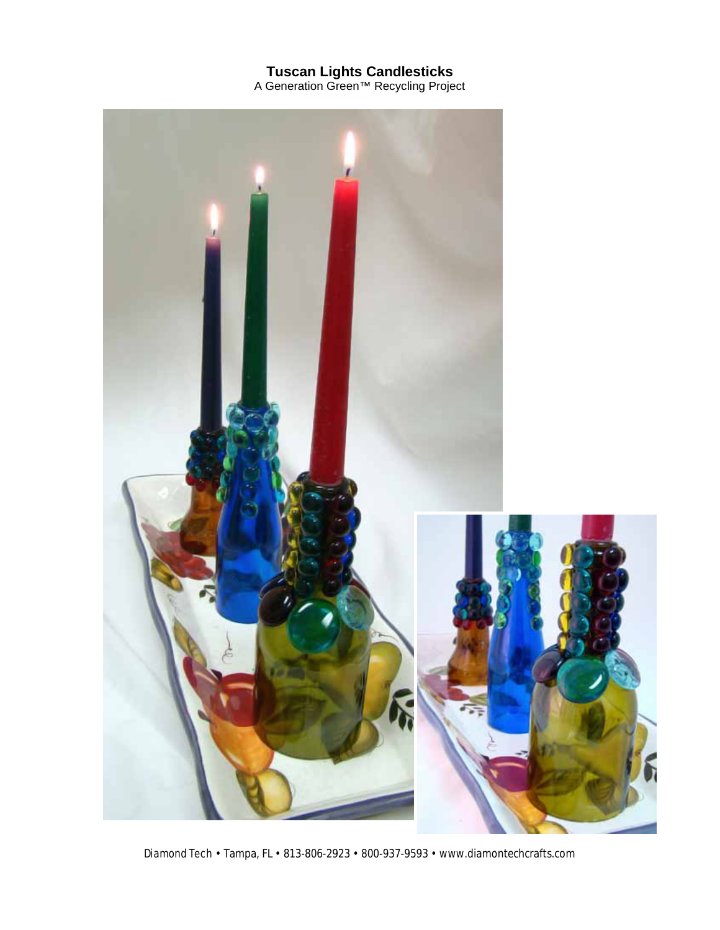## **Tuscan Lights Candlesticks**

A Generation Green™ Recycling Project



Diamond Tech • Tampa, FL • 813-806-2923 • 800-937-9593 • www.diamontechcrafts.com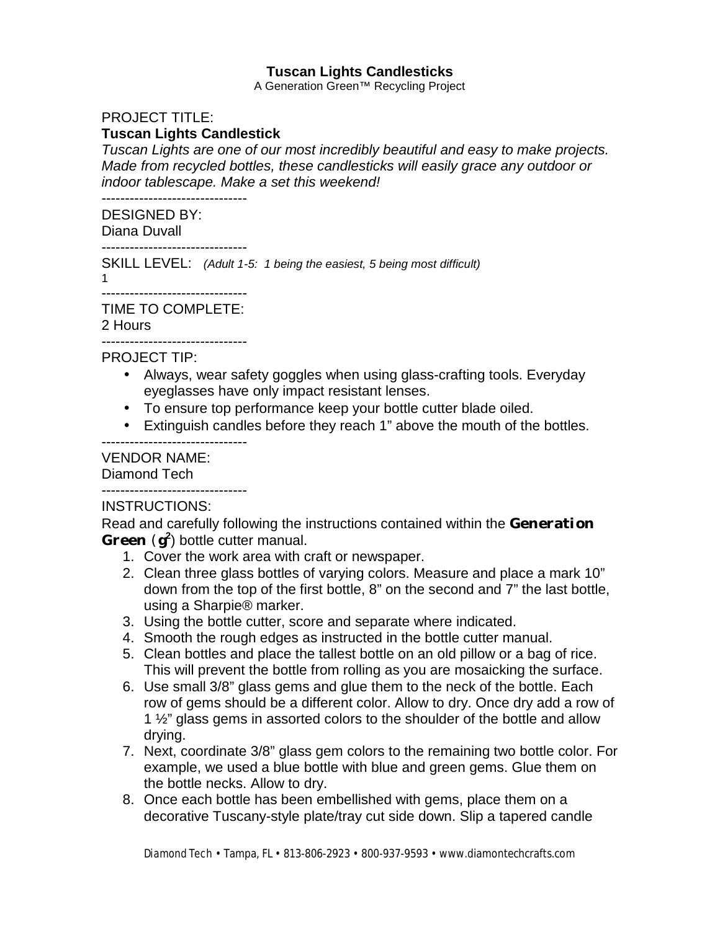## **Tuscan Lights Candlesticks**

A Generation Green™ Recycling Project

### PROJECT TITLE:

#### **Tuscan Lights Candlestick**

*Tuscan Lights are one of our most incredibly beautiful and easy to make projects. Made from recycled bottles, these candlesticks will easily grace any outdoor or indoor tablescape. Make a set this weekend!*

-------------------------------

# DESIGNED BY:

Diana Duvall -------------------------------

SKILL LEVEL: *(Adult 1-5: 1 being the easiest, 5 being most difficult)*

1

# -------------------------------

TIME TO COMPLETE:

#### 2 Hours

------------------------------- PROJECT TIP:

- Always, wear safety goggles when using glass-crafting tools. Everyday eyeglasses have only impact resistant lenses.
- To ensure top performance keep your bottle cutter blade oiled.
- Extinguish candles before they reach 1" above the mouth of the bottles.

### VENDOR NAME:

Diamond Tech

#### -------------------------------

-------------------------------

#### INSTRUCTIONS:

Read and carefully following the instructions contained within the **Generation Green** (**g<sup>2</sup>** ) bottle cutter manual.

- 1. Cover the work area with craft or newspaper.
- 2. Clean three glass bottles of varying colors. Measure and place a mark 10" down from the top of the first bottle, 8" on the second and 7" the last bottle, using a Sharpie® marker.
- 3. Using the bottle cutter, score and separate where indicated.
- 4. Smooth the rough edges as instructed in the bottle cutter manual.
- 5. Clean bottles and place the tallest bottle on an old pillow or a bag of rice. This will prevent the bottle from rolling as you are mosaicking the surface.
- 6. Use small 3/8" glass gems and glue them to the neck of the bottle. Each row of gems should be a different color. Allow to dry. Once dry add a row of 1 ½" glass gems in assorted colors to the shoulder of the bottle and allow drying.
- 7. Next, coordinate 3/8" glass gem colors to the remaining two bottle color. For example, we used a blue bottle with blue and green gems. Glue them on the bottle necks. Allow to dry.
- 8. Once each bottle has been embellished with gems, place them on a decorative Tuscany-style plate/tray cut side down. Slip a tapered candle